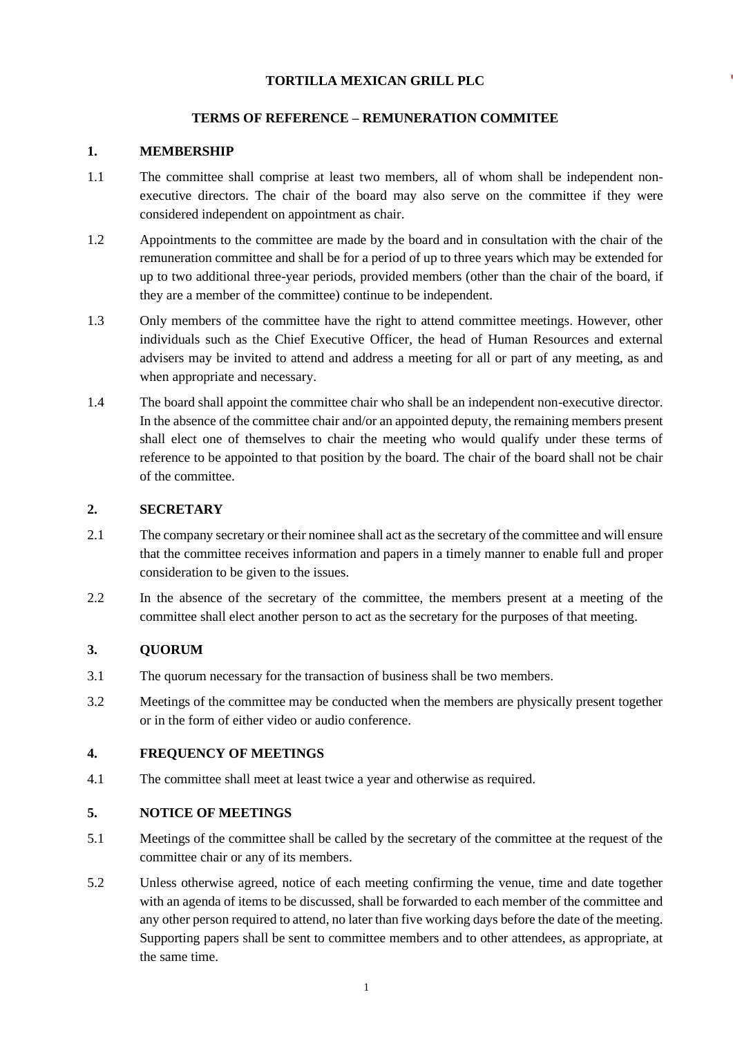### **TORTILLA MEXICAN GRILL PLC**

# **TERMS OF REFERENCE – REMUNERATION COMMITEE**

### **1. MEMBERSHIP**

- 1.1 The committee shall comprise at least two members, all of whom shall be independent nonexecutive directors. The chair of the board may also serve on the committee if they were considered independent on appointment as chair.
- 1.2 Appointments to the committee are made by the board and in consultation with the chair of the remuneration committee and shall be for a period of up to three years which may be extended for up to two additional three-year periods, provided members (other than the chair of the board, if they are a member of the committee) continue to be independent.
- 1.3 Only members of the committee have the right to attend committee meetings. However, other individuals such as the Chief Executive Officer, the head of Human Resources and external advisers may be invited to attend and address a meeting for all or part of any meeting, as and when appropriate and necessary.
- 1.4 The board shall appoint the committee chair who shall be an independent non-executive director. In the absence of the committee chair and/or an appointed deputy, the remaining members present shall elect one of themselves to chair the meeting who would qualify under these terms of reference to be appointed to that position by the board. The chair of the board shall not be chair of the committee.

# **2. SECRETARY**

- 2.1 The company secretary or their nominee shall act as the secretary of the committee and will ensure that the committee receives information and papers in a timely manner to enable full and proper consideration to be given to the issues.
- 2.2 In the absence of the secretary of the committee, the members present at a meeting of the committee shall elect another person to act as the secretary for the purposes of that meeting.

# **3. QUORUM**

- 3.1 The quorum necessary for the transaction of business shall be two members.
- 3.2 Meetings of the committee may be conducted when the members are physically present together or in the form of either video or audio conference.

#### **4. FREQUENCY OF MEETINGS**

4.1 The committee shall meet at least twice a year and otherwise as required.

#### **5. NOTICE OF MEETINGS**

- 5.1 Meetings of the committee shall be called by the secretary of the committee at the request of the committee chair or any of its members.
- 5.2 Unless otherwise agreed, notice of each meeting confirming the venue, time and date together with an agenda of items to be discussed, shall be forwarded to each member of the committee and any other person required to attend, no later than five working days before the date of the meeting. Supporting papers shall be sent to committee members and to other attendees, as appropriate, at the same time.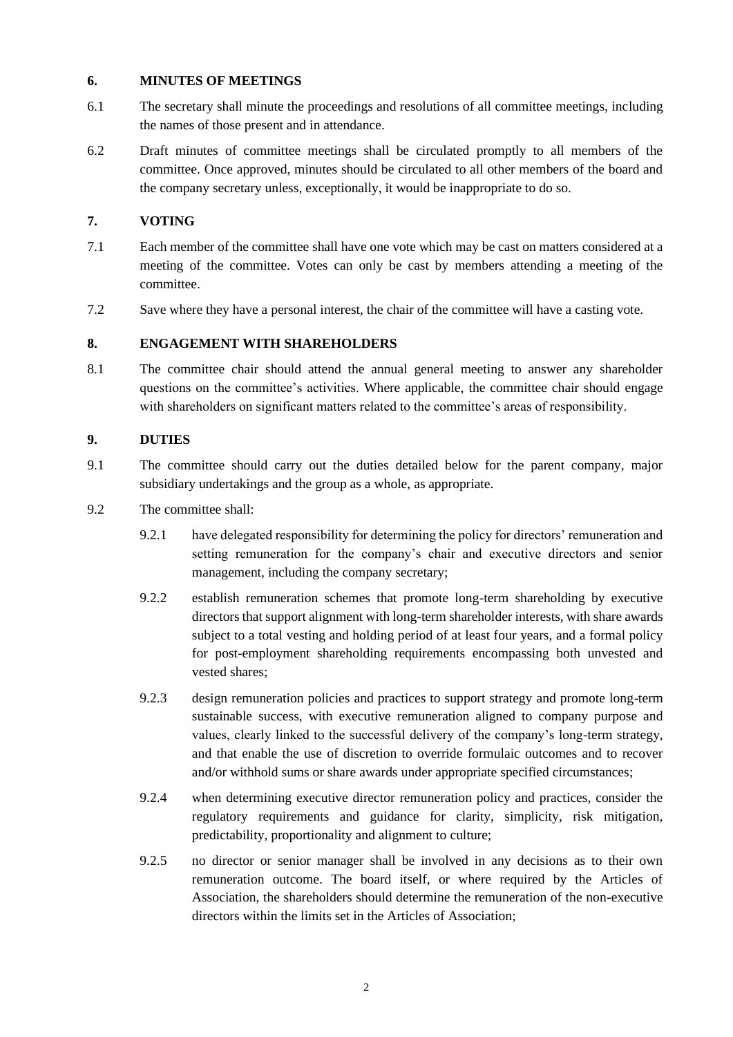### **6. MINUTES OF MEETINGS**

- 6.1 The secretary shall minute the proceedings and resolutions of all committee meetings, including the names of those present and in attendance.
- 6.2 Draft minutes of committee meetings shall be circulated promptly to all members of the committee. Once approved, minutes should be circulated to all other members of the board and the company secretary unless, exceptionally, it would be inappropriate to do so.

# **7. VOTING**

- 7.1 Each member of the committee shall have one vote which may be cast on matters considered at a meeting of the committee. Votes can only be cast by members attending a meeting of the committee.
- 7.2 Save where they have a personal interest, the chair of the committee will have a casting vote.

### **8. ENGAGEMENT WITH SHAREHOLDERS**

8.1 The committee chair should attend the annual general meeting to answer any shareholder questions on the committee's activities. Where applicable, the committee chair should engage with shareholders on significant matters related to the committee's areas of responsibility.

### **9. DUTIES**

- 9.1 The committee should carry out the duties detailed below for the parent company, major subsidiary undertakings and the group as a whole, as appropriate.
- 9.2 The committee shall:
	- 9.2.1 have delegated responsibility for determining the policy for directors' remuneration and setting remuneration for the company's chair and executive directors and senior management, including the company secretary;
	- 9.2.2 establish remuneration schemes that promote long-term shareholding by executive directors that support alignment with long-term shareholder interests, with share awards subject to a total vesting and holding period of at least four years, and a formal policy for post-employment shareholding requirements encompassing both unvested and vested shares;
	- 9.2.3 design remuneration policies and practices to support strategy and promote long-term sustainable success, with executive remuneration aligned to company purpose and values, clearly linked to the successful delivery of the company's long-term strategy, and that enable the use of discretion to override formulaic outcomes and to recover and/or withhold sums or share awards under appropriate specified circumstances;
	- 9.2.4 when determining executive director remuneration policy and practices, consider the regulatory requirements and guidance for clarity, simplicity, risk mitigation, predictability, proportionality and alignment to culture;
	- 9.2.5 no director or senior manager shall be involved in any decisions as to their own remuneration outcome. The board itself, or where required by the Articles of Association, the shareholders should determine the remuneration of the non-executive directors within the limits set in the Articles of Association;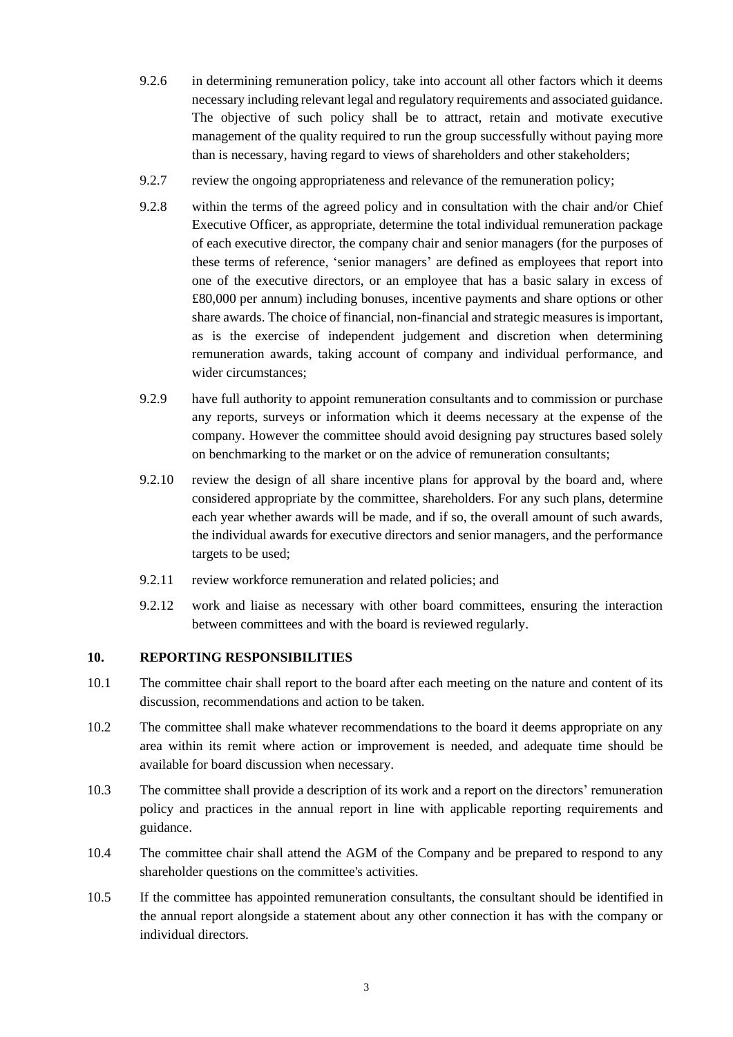- 9.2.6 in determining remuneration policy, take into account all other factors which it deems necessary including relevant legal and regulatory requirements and associated guidance. The objective of such policy shall be to attract, retain and motivate executive management of the quality required to run the group successfully without paying more than is necessary, having regard to views of shareholders and other stakeholders;
- 9.2.7 review the ongoing appropriateness and relevance of the remuneration policy;
- 9.2.8 within the terms of the agreed policy and in consultation with the chair and/or Chief Executive Officer, as appropriate, determine the total individual remuneration package of each executive director, the company chair and senior managers (for the purposes of these terms of reference, 'senior managers' are defined as employees that report into one of the executive directors, or an employee that has a basic salary in excess of £80,000 per annum) including bonuses, incentive payments and share options or other share awards. The choice of financial, non-financial and strategic measures is important, as is the exercise of independent judgement and discretion when determining remuneration awards, taking account of company and individual performance, and wider circumstances;
- 9.2.9 have full authority to appoint remuneration consultants and to commission or purchase any reports, surveys or information which it deems necessary at the expense of the company. However the committee should avoid designing pay structures based solely on benchmarking to the market or on the advice of remuneration consultants;
- 9.2.10 review the design of all share incentive plans for approval by the board and, where considered appropriate by the committee, shareholders. For any such plans, determine each year whether awards will be made, and if so, the overall amount of such awards, the individual awards for executive directors and senior managers, and the performance targets to be used;
- 9.2.11 review workforce remuneration and related policies; and
- 9.2.12 work and liaise as necessary with other board committees, ensuring the interaction between committees and with the board is reviewed regularly.

#### **10. REPORTING RESPONSIBILITIES**

- 10.1 The committee chair shall report to the board after each meeting on the nature and content of its discussion, recommendations and action to be taken.
- 10.2 The committee shall make whatever recommendations to the board it deems appropriate on any area within its remit where action or improvement is needed, and adequate time should be available for board discussion when necessary.
- 10.3 The committee shall provide a description of its work and a report on the directors' remuneration policy and practices in the annual report in line with applicable reporting requirements and guidance.
- 10.4 The committee chair shall attend the AGM of the Company and be prepared to respond to any shareholder questions on the committee's activities.
- 10.5 If the committee has appointed remuneration consultants, the consultant should be identified in the annual report alongside a statement about any other connection it has with the company or individual directors.